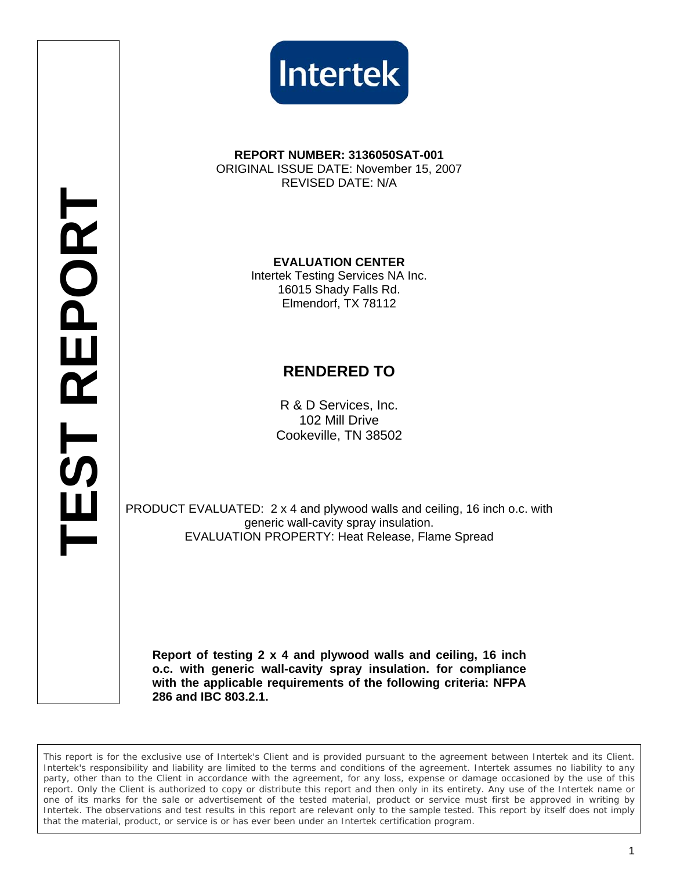



## **REPORT NUMBER: 3136050SAT-001**  ORIGINAL ISSUE DATE: November 15, 2007 REVISED DATE: N/A

**EVALUATION CENTER**  Intertek Testing Services NA Inc. 16015 Shady Falls Rd. Elmendorf, TX 78112

## **RENDERED TO**

R & D Services, Inc. 102 Mill Drive Cookeville, TN 38502

PRODUCT EVALUATED: 2 x 4 and plywood walls and ceiling, 16 inch o.c. with generic wall-cavity spray insulation. EVALUATION PROPERTY: Heat Release, Flame Spread

**Report of testing 2 x 4 and plywood walls and ceiling, 16 inch o.c. with generic wall-cavity spray insulation. for compliance with the applicable requirements of the following criteria: NFPA 286 and IBC 803.2.1.** 

*This report is for the exclusive use of Intertek's Client and is provided pursuant to the agreement between Intertek and its Client. Intertek's responsibility and liability are limited to the terms and conditions of the agreement. Intertek assumes no liability to any party, other than to the Client in accordance with the agreement, for any loss, expense or damage occasioned by the use of this* report. Only the Client is authorized to copy or distribute this report and then only in its entirety. Any use of the Intertek name or *one of its marks for the sale or advertisement of the tested material, product or service must first be approved in writing by Intertek. The observations and test results in this report are relevant only to the sample tested. This report by itself does not imply that the material, product, or service is or has ever been under an Intertek certification program.*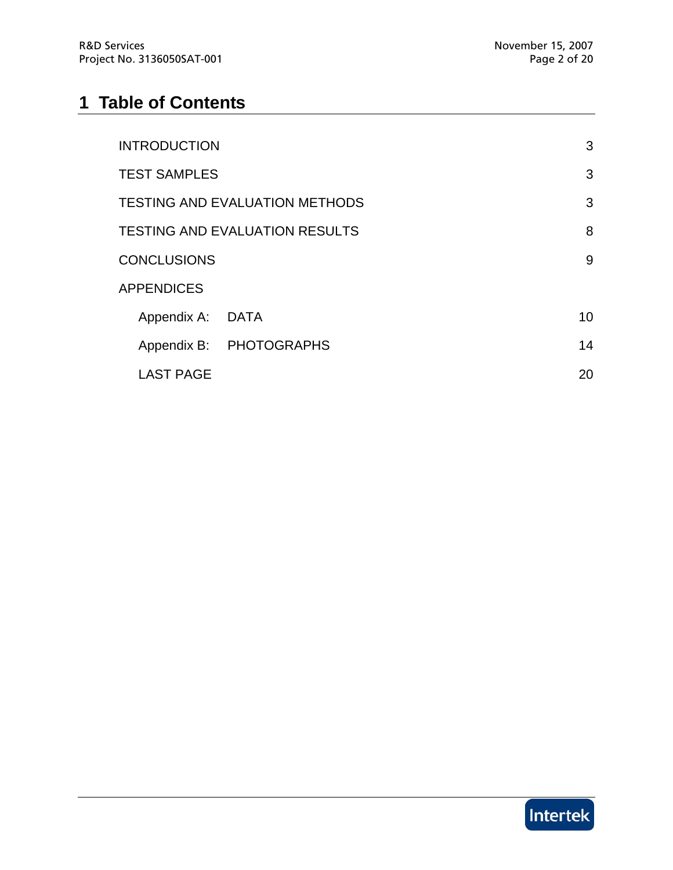# **1 Table of Contents**

| <b>INTRODUCTION</b>                   |                         | 3  |
|---------------------------------------|-------------------------|----|
| <b>TEST SAMPLES</b>                   |                         | 3  |
| <b>TESTING AND EVALUATION METHODS</b> |                         | 3  |
| <b>TESTING AND EVALUATION RESULTS</b> |                         | 8  |
| <b>CONCLUSIONS</b>                    |                         | 9  |
| <b>APPENDICES</b>                     |                         |    |
| Appendix A: DATA                      |                         | 10 |
|                                       | Appendix B: PHOTOGRAPHS | 14 |
| <b>LAST PAGE</b>                      |                         | 20 |

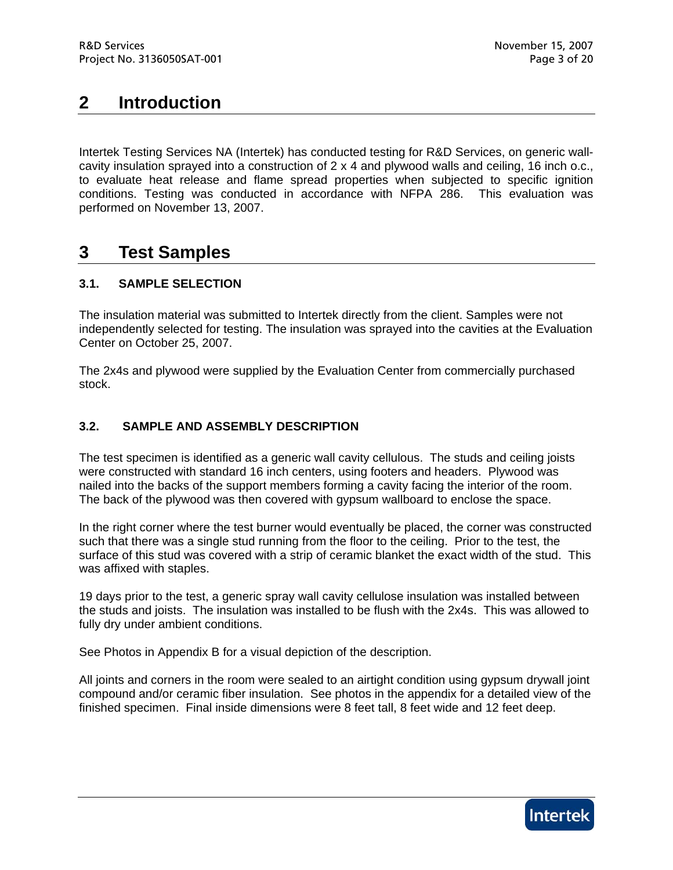# **2 Introduction**

Intertek Testing Services NA (Intertek) has conducted testing for R&D Services, on generic wallcavity insulation sprayed into a construction of 2 x 4 and plywood walls and ceiling, 16 inch o.c., to evaluate heat release and flame spread properties when subjected to specific ignition conditions. Testing was conducted in accordance with NFPA 286. This evaluation was performed on November 13, 2007.

## **3 Test Samples**

## **3.1. SAMPLE SELECTION**

The insulation material was submitted to Intertek directly from the client. Samples were not independently selected for testing. The insulation was sprayed into the cavities at the Evaluation Center on October 25, 2007.

The 2x4s and plywood were supplied by the Evaluation Center from commercially purchased stock.

## **3.2. SAMPLE AND ASSEMBLY DESCRIPTION**

The test specimen is identified as a generic wall cavity cellulous. The studs and ceiling joists were constructed with standard 16 inch centers, using footers and headers. Plywood was nailed into the backs of the support members forming a cavity facing the interior of the room. The back of the plywood was then covered with gypsum wallboard to enclose the space.

In the right corner where the test burner would eventually be placed, the corner was constructed such that there was a single stud running from the floor to the ceiling. Prior to the test, the surface of this stud was covered with a strip of ceramic blanket the exact width of the stud. This was affixed with staples.

19 days prior to the test, a generic spray wall cavity cellulose insulation was installed between the studs and joists. The insulation was installed to be flush with the 2x4s. This was allowed to fully dry under ambient conditions.

See Photos in Appendix B for a visual depiction of the description.

All joints and corners in the room were sealed to an airtight condition using gypsum drywall joint compound and/or ceramic fiber insulation. See photos in the appendix for a detailed view of the finished specimen. Final inside dimensions were 8 feet tall, 8 feet wide and 12 feet deep.

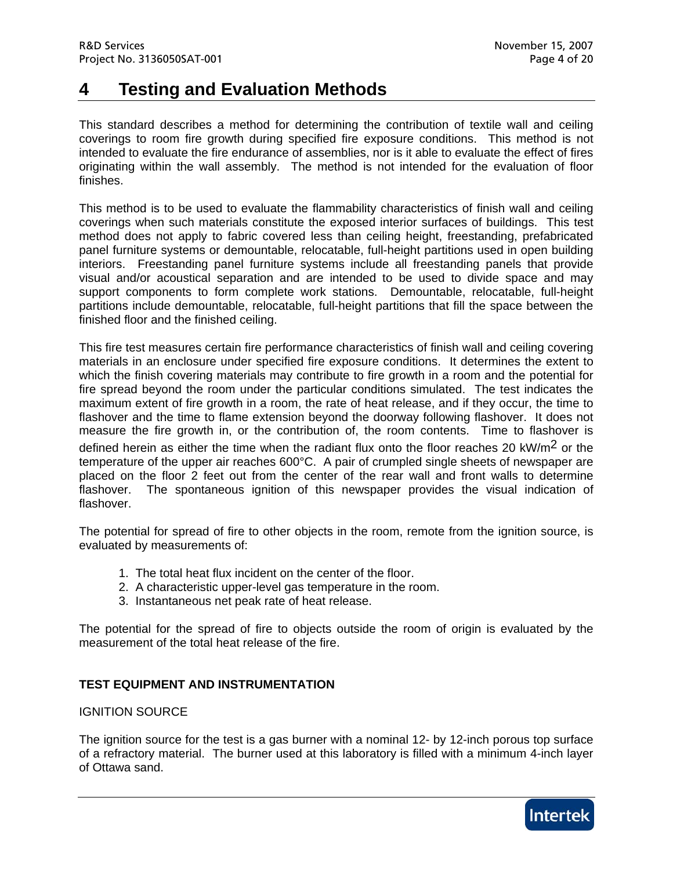# **4 Testing and Evaluation Methods**

This standard describes a method for determining the contribution of textile wall and ceiling coverings to room fire growth during specified fire exposure conditions. This method is not intended to evaluate the fire endurance of assemblies, nor is it able to evaluate the effect of fires originating within the wall assembly. The method is not intended for the evaluation of floor finishes.

This method is to be used to evaluate the flammability characteristics of finish wall and ceiling coverings when such materials constitute the exposed interior surfaces of buildings. This test method does not apply to fabric covered less than ceiling height, freestanding, prefabricated panel furniture systems or demountable, relocatable, full-height partitions used in open building interiors. Freestanding panel furniture systems include all freestanding panels that provide visual and/or acoustical separation and are intended to be used to divide space and may support components to form complete work stations. Demountable, relocatable, full-height partitions include demountable, relocatable, full-height partitions that fill the space between the finished floor and the finished ceiling.

This fire test measures certain fire performance characteristics of finish wall and ceiling covering materials in an enclosure under specified fire exposure conditions. It determines the extent to which the finish covering materials may contribute to fire growth in a room and the potential for fire spread beyond the room under the particular conditions simulated. The test indicates the maximum extent of fire growth in a room, the rate of heat release, and if they occur, the time to flashover and the time to flame extension beyond the doorway following flashover. It does not measure the fire growth in, or the contribution of, the room contents. Time to flashover is defined herein as either the time when the radiant flux onto the floor reaches 20 kW/m<sup>2</sup> or the temperature of the upper air reaches 600°C. A pair of crumpled single sheets of newspaper are placed on the floor 2 feet out from the center of the rear wall and front walls to determine flashover. The spontaneous ignition of this newspaper provides the visual indication of flashover.

The potential for spread of fire to other objects in the room, remote from the ignition source, is evaluated by measurements of:

- 1. The total heat flux incident on the center of the floor.
- 2. A characteristic upper-level gas temperature in the room.
- 3. Instantaneous net peak rate of heat release.

The potential for the spread of fire to objects outside the room of origin is evaluated by the measurement of the total heat release of the fire.

## **TEST EQUIPMENT AND INSTRUMENTATION**

## IGNITION SOURCE

The ignition source for the test is a gas burner with a nominal 12- by 12-inch porous top surface of a refractory material. The burner used at this laboratory is filled with a minimum 4-inch layer of Ottawa sand.

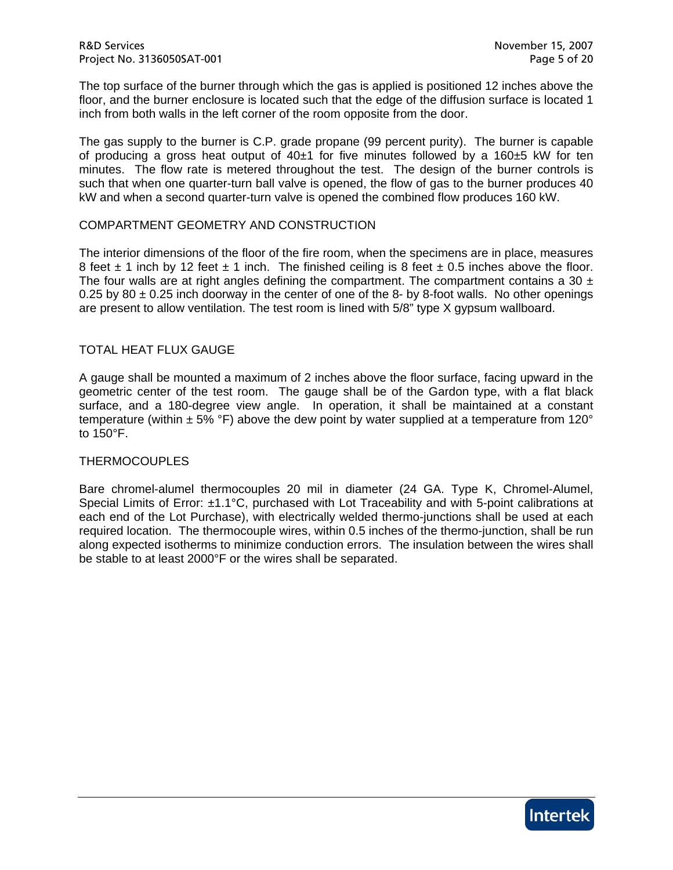The top surface of the burner through which the gas is applied is positioned 12 inches above the floor, and the burner enclosure is located such that the edge of the diffusion surface is located 1 inch from both walls in the left corner of the room opposite from the door.

The gas supply to the burner is C.P. grade propane (99 percent purity). The burner is capable of producing a gross heat output of  $40±1$  for five minutes followed by a 160 $±5$  kW for ten minutes. The flow rate is metered throughout the test. The design of the burner controls is such that when one quarter-turn ball valve is opened, the flow of gas to the burner produces 40 kW and when a second quarter-turn valve is opened the combined flow produces 160 kW.

## COMPARTMENT GEOMETRY AND CONSTRUCTION

The interior dimensions of the floor of the fire room, when the specimens are in place, measures 8 feet  $\pm$  1 inch by 12 feet  $\pm$  1 inch. The finished ceiling is 8 feet  $\pm$  0.5 inches above the floor. The four walls are at right angles defining the compartment. The compartment contains a 30  $\pm$ 0.25 by 80  $\pm$  0.25 inch doorway in the center of one of the 8- by 8-foot walls. No other openings are present to allow ventilation. The test room is lined with 5/8" type X gypsum wallboard.

## TOTAL HEAT FLUX GAUGE

A gauge shall be mounted a maximum of 2 inches above the floor surface, facing upward in the geometric center of the test room. The gauge shall be of the Gardon type, with a flat black surface, and a 180-degree view angle. In operation, it shall be maintained at a constant temperature (within  $\pm$  5% °F) above the dew point by water supplied at a temperature from 120° to 150°F.

#### THERMOCOUPLES

Bare chromel-alumel thermocouples 20 mil in diameter (24 GA. Type K, Chromel-Alumel, Special Limits of Error: ±1.1°C, purchased with Lot Traceability and with 5-point calibrations at each end of the Lot Purchase), with electrically welded thermo-junctions shall be used at each required location. The thermocouple wires, within 0.5 inches of the thermo-junction, shall be run along expected isotherms to minimize conduction errors. The insulation between the wires shall be stable to at least 2000°F or the wires shall be separated.

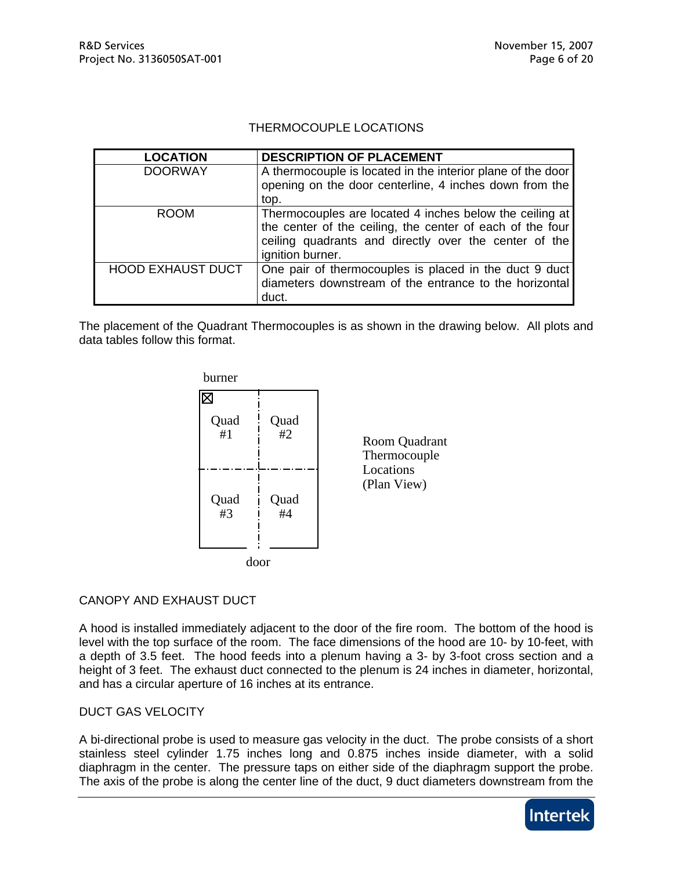### THERMOCOUPLE LOCATIONS

| <b>LOCATION</b>          | <b>DESCRIPTION OF PLACEMENT</b>                             |
|--------------------------|-------------------------------------------------------------|
| <b>DOORWAY</b>           | A thermocouple is located in the interior plane of the door |
|                          | opening on the door centerline, 4 inches down from the      |
|                          | top.                                                        |
| <b>ROOM</b>              | Thermocouples are located 4 inches below the ceiling at     |
|                          | the center of the ceiling, the center of each of the four   |
|                          | ceiling quadrants and directly over the center of the       |
|                          | ignition burner.                                            |
| <b>HOOD EXHAUST DUCT</b> | One pair of thermocouples is placed in the duct 9 duct      |
|                          | diameters downstream of the entrance to the horizontal      |
|                          | duct.                                                       |

The placement of the Quadrant Thermocouples is as shown in the drawing below. All plots and data tables follow this format.



## CANOPY AND EXHAUST DUCT

A hood is installed immediately adjacent to the door of the fire room. The bottom of the hood is level with the top surface of the room. The face dimensions of the hood are 10- by 10-feet, with a depth of 3.5 feet. The hood feeds into a plenum having a 3- by 3-foot cross section and a height of 3 feet. The exhaust duct connected to the plenum is 24 inches in diameter, horizontal, and has a circular aperture of 16 inches at its entrance.

## DUCT GAS VELOCITY

A bi-directional probe is used to measure gas velocity in the duct. The probe consists of a short stainless steel cylinder 1.75 inches long and 0.875 inches inside diameter, with a solid diaphragm in the center. The pressure taps on either side of the diaphragm support the probe. The axis of the probe is along the center line of the duct, 9 duct diameters downstream from the

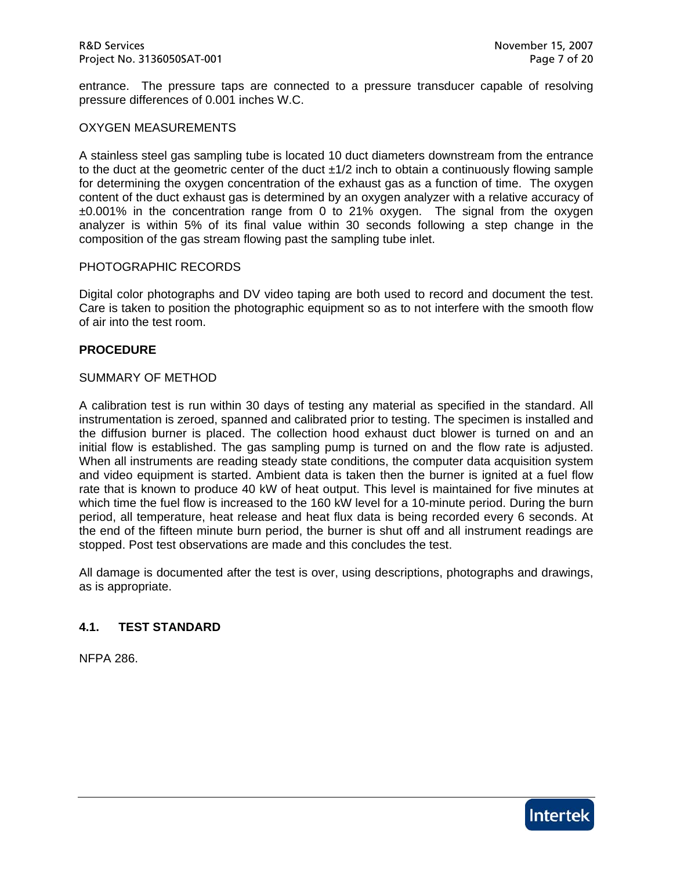entrance. The pressure taps are connected to a pressure transducer capable of resolving pressure differences of 0.001 inches W.C.

#### OXYGEN MEASUREMENTS

A stainless steel gas sampling tube is located 10 duct diameters downstream from the entrance to the duct at the geometric center of the duct ±1/2 inch to obtain a continuously flowing sample for determining the oxygen concentration of the exhaust gas as a function of time. The oxygen content of the duct exhaust gas is determined by an oxygen analyzer with a relative accuracy of ±0.001% in the concentration range from 0 to 21% oxygen. The signal from the oxygen analyzer is within 5% of its final value within 30 seconds following a step change in the composition of the gas stream flowing past the sampling tube inlet.

#### PHOTOGRAPHIC RECORDS

Digital color photographs and DV video taping are both used to record and document the test. Care is taken to position the photographic equipment so as to not interfere with the smooth flow of air into the test room.

#### **PROCEDURE**

#### SUMMARY OF METHOD

A calibration test is run within 30 days of testing any material as specified in the standard. All instrumentation is zeroed, spanned and calibrated prior to testing. The specimen is installed and the diffusion burner is placed. The collection hood exhaust duct blower is turned on and an initial flow is established. The gas sampling pump is turned on and the flow rate is adjusted. When all instruments are reading steady state conditions, the computer data acquisition system and video equipment is started. Ambient data is taken then the burner is ignited at a fuel flow rate that is known to produce 40 kW of heat output. This level is maintained for five minutes at which time the fuel flow is increased to the 160 kW level for a 10-minute period. During the burn period, all temperature, heat release and heat flux data is being recorded every 6 seconds. At the end of the fifteen minute burn period, the burner is shut off and all instrument readings are stopped. Post test observations are made and this concludes the test.

All damage is documented after the test is over, using descriptions, photographs and drawings, as is appropriate.

#### **4.1. TEST STANDARD**

NFPA 286.

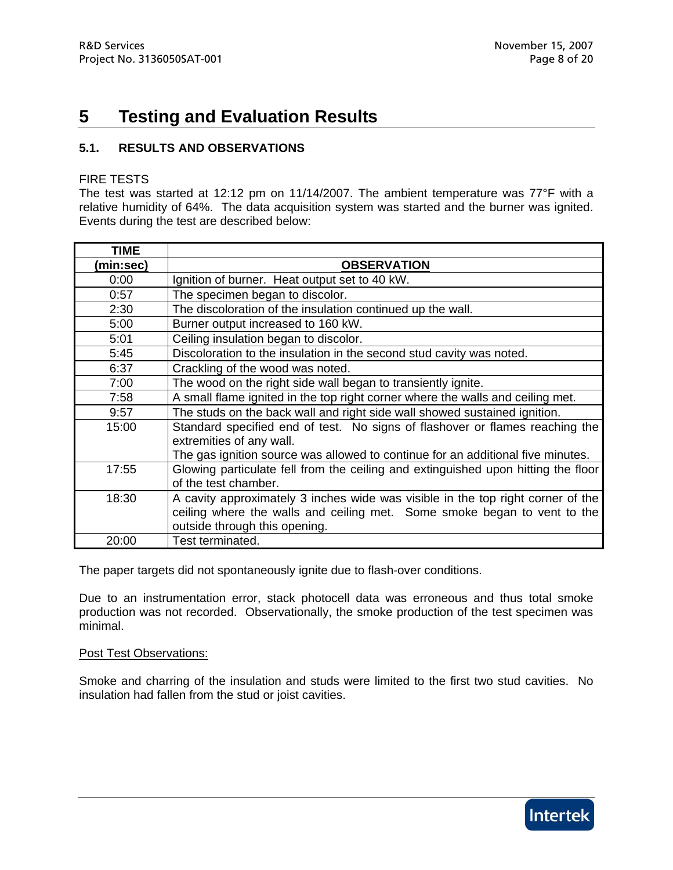# **5 Testing and Evaluation Results**

## **5.1. RESULTS AND OBSERVATIONS**

#### FIRE TESTS

The test was started at 12:12 pm on 11/14/2007. The ambient temperature was 77°F with a relative humidity of 64%. The data acquisition system was started and the burner was ignited. Events during the test are described below:

| <b>TIME</b> |                                                                                   |
|-------------|-----------------------------------------------------------------------------------|
| (min:sec)   | <b>OBSERVATION</b>                                                                |
| 0:00        | Ignition of burner. Heat output set to 40 kW.                                     |
| 0:57        | The specimen began to discolor.                                                   |
| 2:30        | The discoloration of the insulation continued up the wall.                        |
| 5:00        | Burner output increased to 160 kW.                                                |
| 5:01        | Ceiling insulation began to discolor.                                             |
| 5:45        | Discoloration to the insulation in the second stud cavity was noted.              |
| 6:37        | Crackling of the wood was noted.                                                  |
| 7:00        | The wood on the right side wall began to transiently ignite.                      |
| 7:58        | A small flame ignited in the top right corner where the walls and ceiling met.    |
| 9:57        | The studs on the back wall and right side wall showed sustained ignition.         |
| 15:00       | Standard specified end of test. No signs of flashover or flames reaching the      |
|             | extremities of any wall.                                                          |
|             | The gas ignition source was allowed to continue for an additional five minutes.   |
| 17:55       | Glowing particulate fell from the ceiling and extinguished upon hitting the floor |
|             | of the test chamber.                                                              |
| 18:30       | A cavity approximately 3 inches wide was visible in the top right corner of the   |
|             | ceiling where the walls and ceiling met. Some smoke began to vent to the          |
|             | outside through this opening.                                                     |
| 20:00       | Test terminated.                                                                  |

The paper targets did not spontaneously ignite due to flash-over conditions.

Due to an instrumentation error, stack photocell data was erroneous and thus total smoke production was not recorded. Observationally, the smoke production of the test specimen was minimal.

#### Post Test Observations:

Smoke and charring of the insulation and studs were limited to the first two stud cavities. No insulation had fallen from the stud or joist cavities.

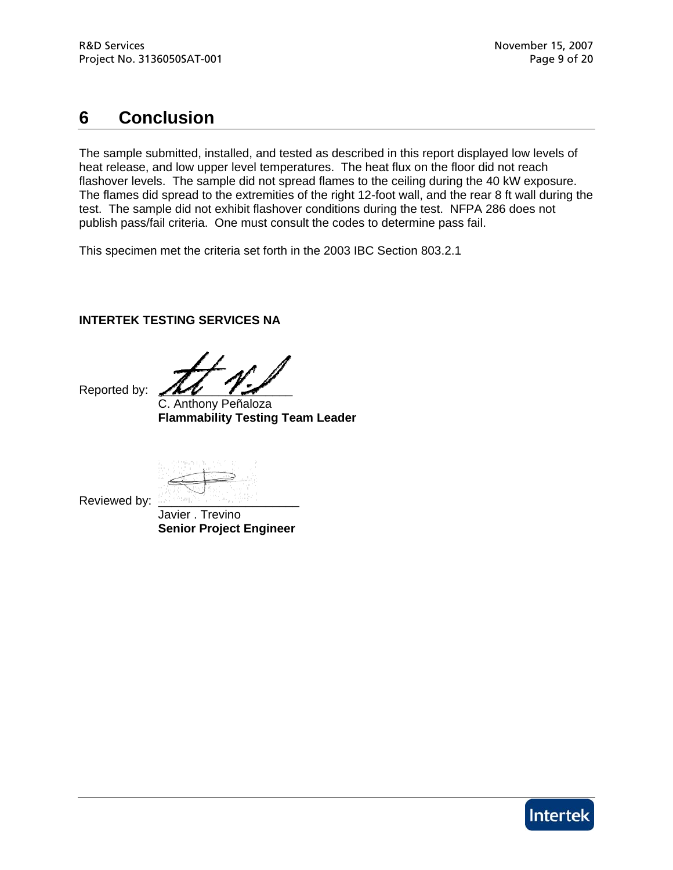# **6 Conclusion**

The sample submitted, installed, and tested as described in this report displayed low levels of heat release, and low upper level temperatures. The heat flux on the floor did not reach flashover levels. The sample did not spread flames to the ceiling during the 40 kW exposure. The flames did spread to the extremities of the right 12-foot wall, and the rear 8 ft wall during the test. The sample did not exhibit flashover conditions during the test. NFPA 286 does not publish pass/fail criteria. One must consult the codes to determine pass fail.

This specimen met the criteria set forth in the 2003 IBC Section 803.2.1

## **INTERTEK TESTING SERVICES NA**

Reported by:

 C. Anthony Peñaloza **Flammability Testing Team Leader** 

Reviewed by: Javier . Trevino **Senior Project Engineer** 

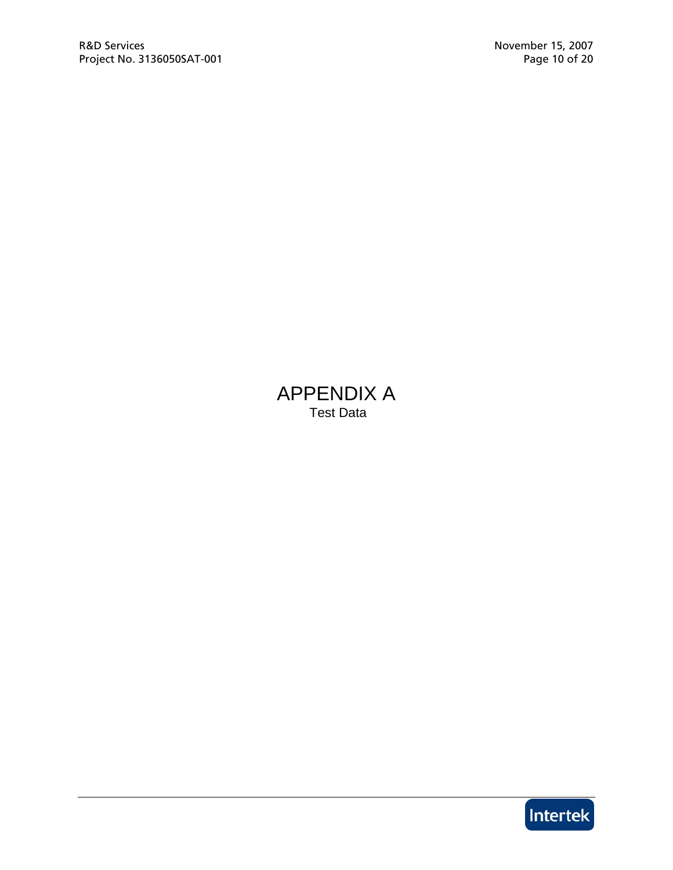# APPENDIX A Test Data

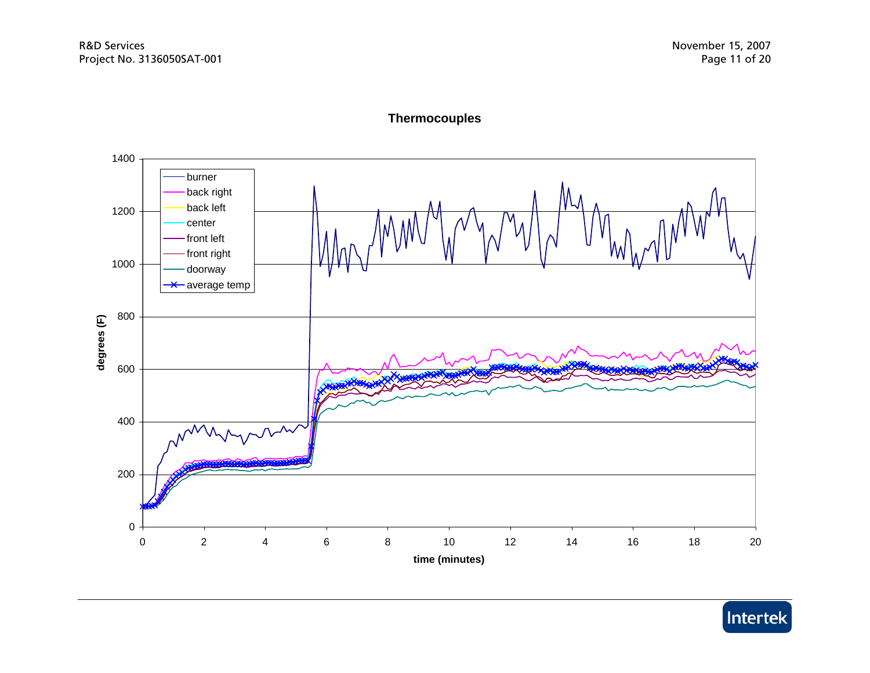



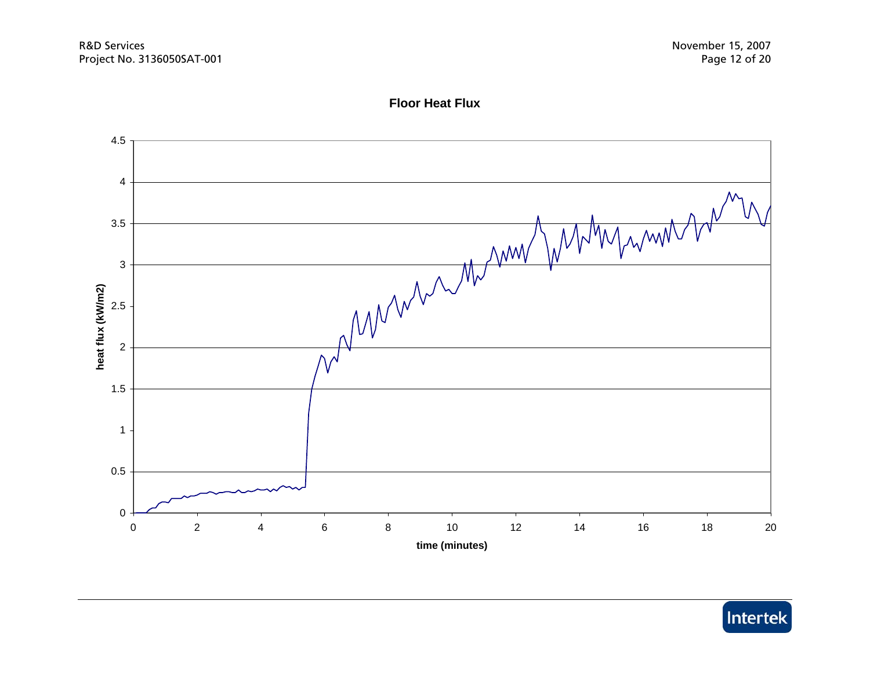

## **Floor Heat Flux**

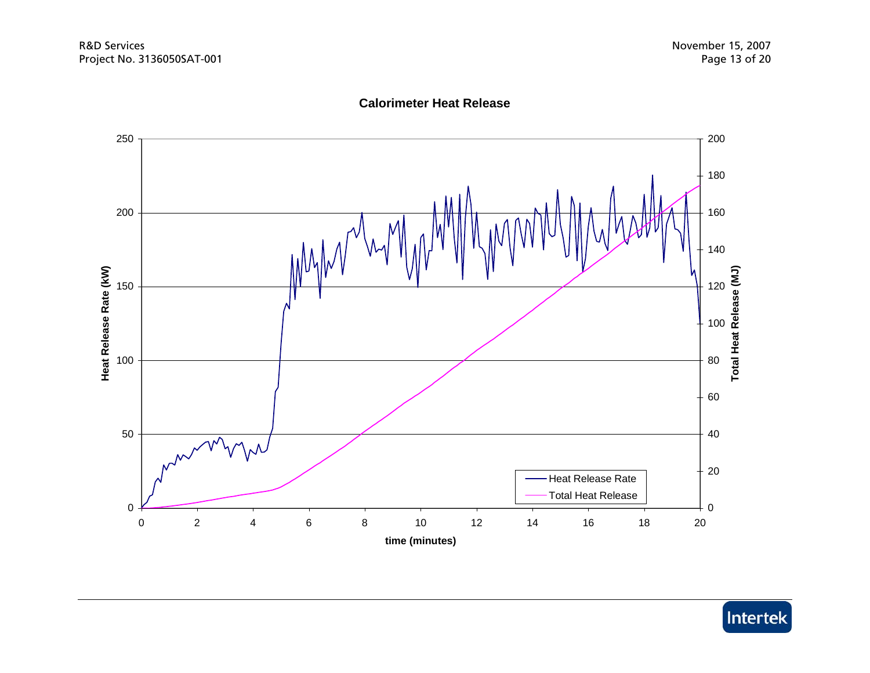

**Calorimeter Heat Release**

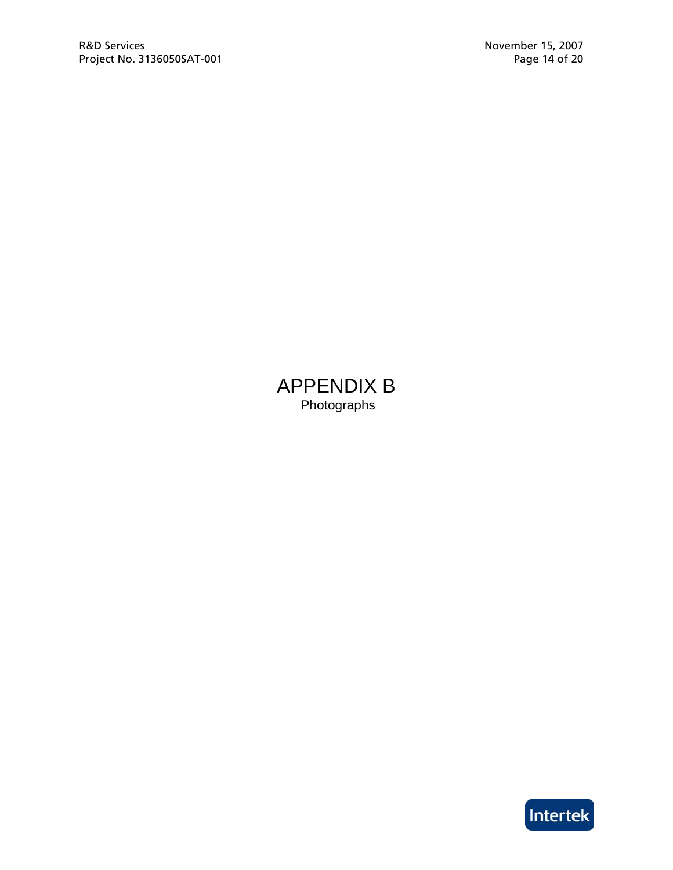APPENDIX B Photographs

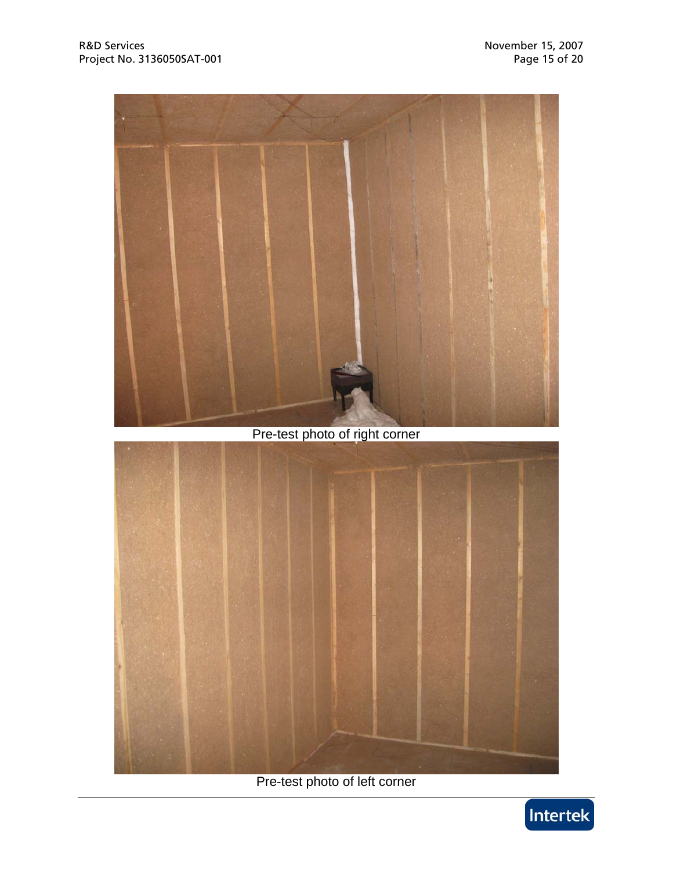

# Pre-test photo of right corner



Pre-test photo of left corner

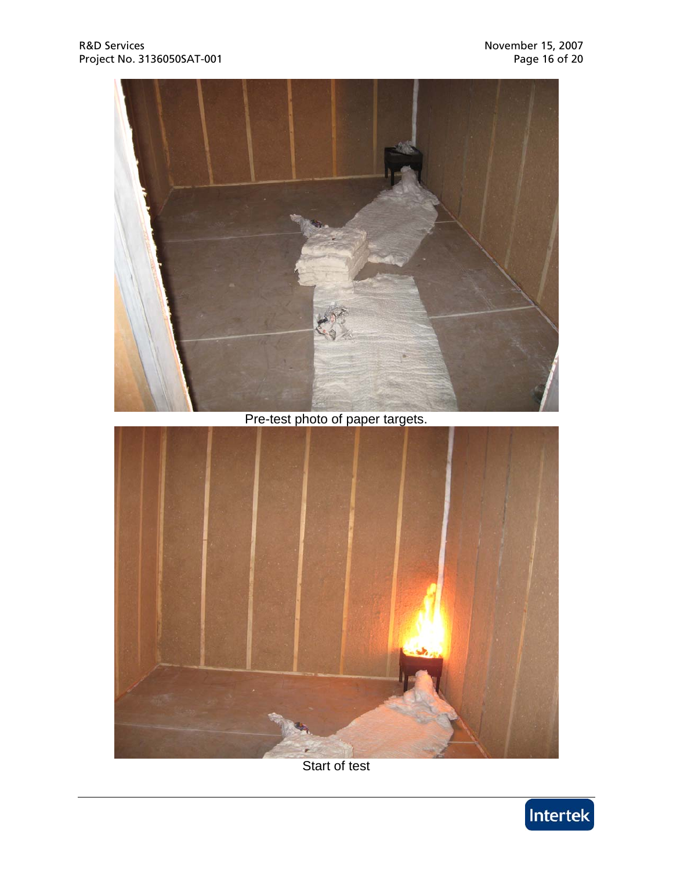



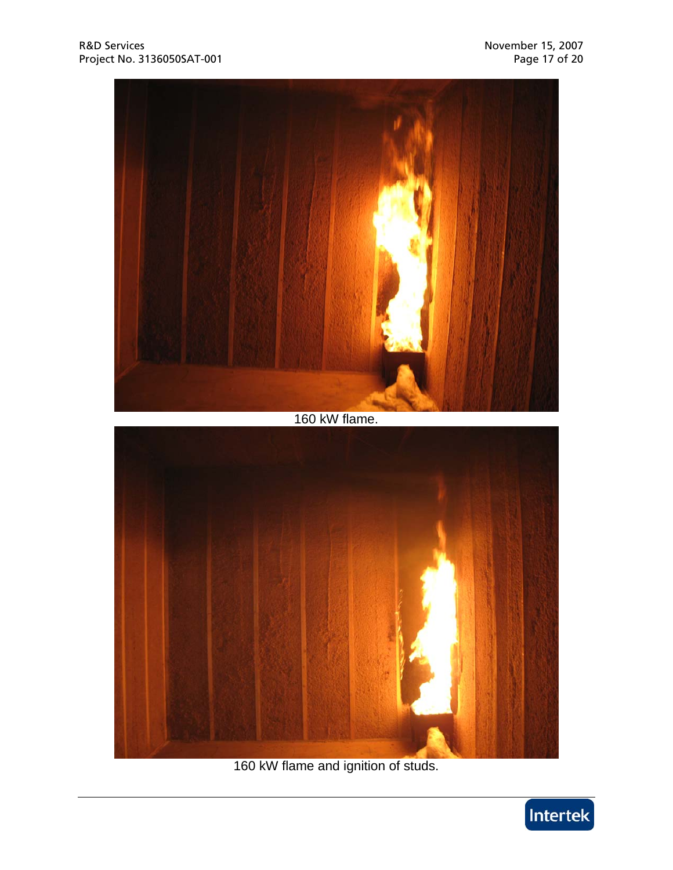

160 kW flame and ignition of studs.

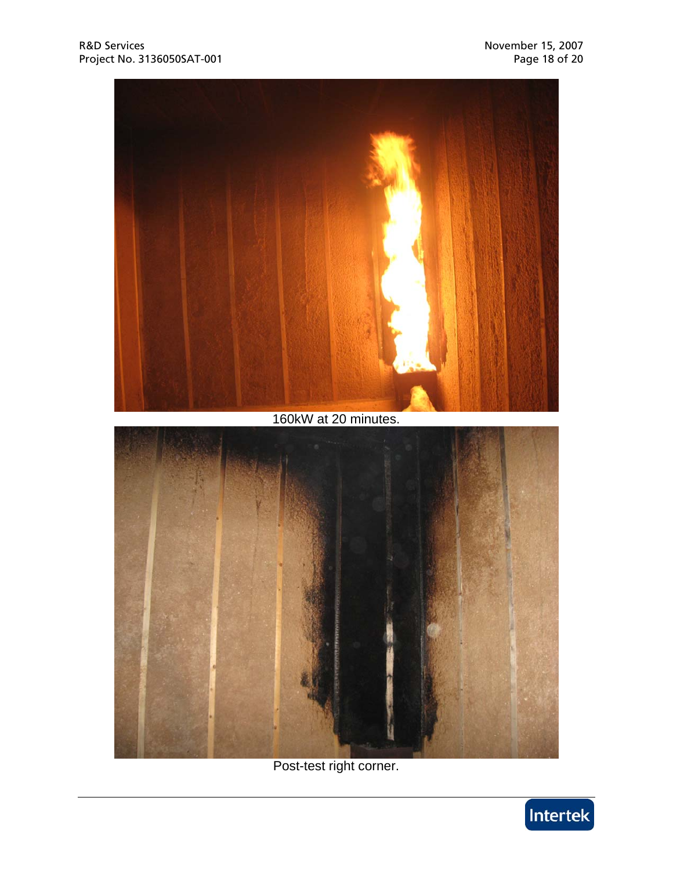

Post-test right corner.

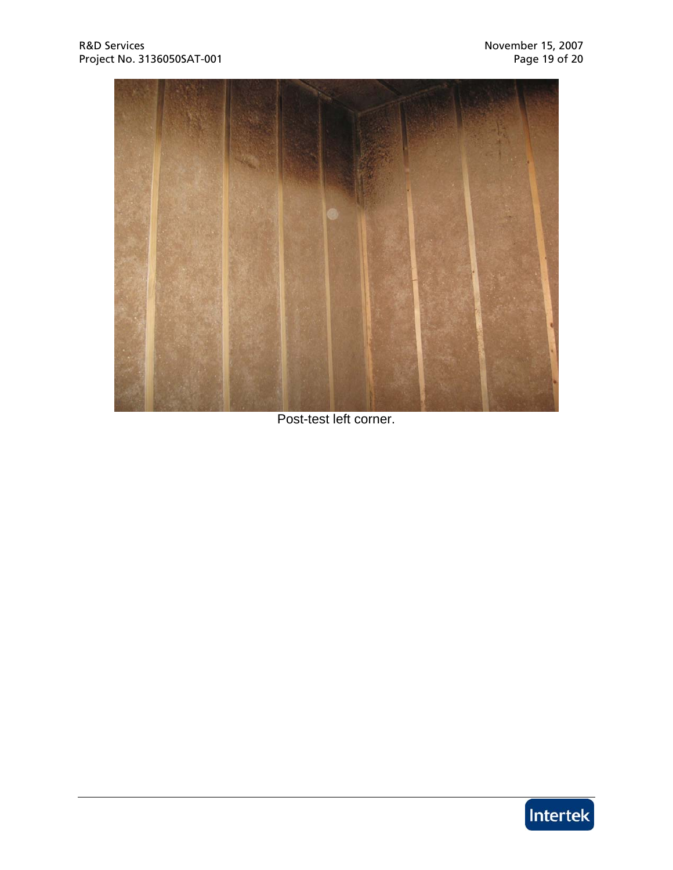

Post-test left corner.